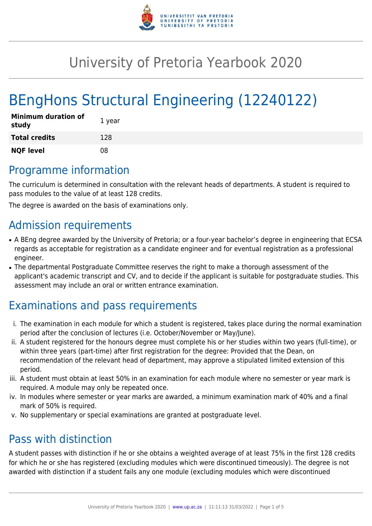

# University of Pretoria Yearbook 2020

# BEngHons Structural Engineering (12240122)

| <b>Minimum duration of</b><br>study | 1 year |
|-------------------------------------|--------|
| <b>Total credits</b>                | 128    |
| <b>NQF level</b>                    | 08     |

# Programme information

The curriculum is determined in consultation with the relevant heads of departments. A student is required to pass modules to the value of at least 128 credits.

The degree is awarded on the basis of examinations only.

## Admission requirements

- A BEng degree awarded by the University of Pretoria; or a four-year bachelor's degree in engineering that ECSA regards as acceptable for registration as a candidate engineer and for eventual registration as a professional engineer.
- The departmental Postgraduate Committee reserves the right to make a thorough assessment of the applicant's academic transcript and CV, and to decide if the applicant is suitable for postgraduate studies. This assessment may include an oral or written entrance examination.

# Examinations and pass requirements

- i. The examination in each module for which a student is registered, takes place during the normal examination period after the conclusion of lectures (i.e. October/November or May/June).
- ii. A student registered for the honours degree must complete his or her studies within two years (full-time), or within three years (part-time) after first registration for the degree: Provided that the Dean, on recommendation of the relevant head of department, may approve a stipulated limited extension of this period.
- iii. A student must obtain at least 50% in an examination for each module where no semester or year mark is required. A module may only be repeated once.
- iv. In modules where semester or year marks are awarded, a minimum examination mark of 40% and a final mark of 50% is required.
- v. No supplementary or special examinations are granted at postgraduate level.

# Pass with distinction

A student passes with distinction if he or she obtains a weighted average of at least 75% in the first 128 credits for which he or she has registered (excluding modules which were discontinued timeously). The degree is not awarded with distinction if a student fails any one module (excluding modules which were discontinued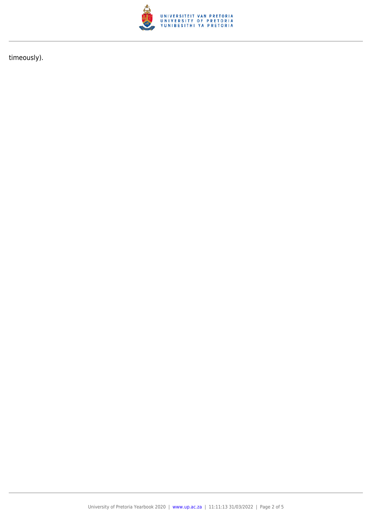

timeously).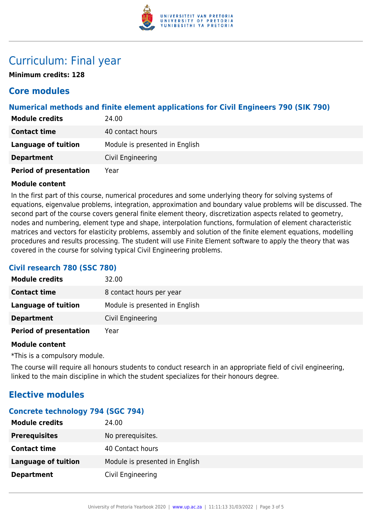

# Curriculum: Final year

**Minimum credits: 128**

## **Core modules**

## **Numerical methods and finite element applications for Civil Engineers 790 (SIK 790)**

| <b>Module credits</b>         | 24.00                          |
|-------------------------------|--------------------------------|
| <b>Contact time</b>           | 40 contact hours               |
| <b>Language of tuition</b>    | Module is presented in English |
| <b>Department</b>             | Civil Engineering              |
| <b>Period of presentation</b> | Year                           |

## **Module content**

In the first part of this course, numerical procedures and some underlying theory for solving systems of equations, eigenvalue problems, integration, approximation and boundary value problems will be discussed. The second part of the course covers general finite element theory, discretization aspects related to geometry, nodes and numbering, element type and shape, interpolation functions, formulation of element characteristic matrices and vectors for elasticity problems, assembly and solution of the finite element equations, modelling procedures and results processing. The student will use Finite Element software to apply the theory that was covered in the course for solving typical Civil Engineering problems.

## **Civil research 780 (SSC 780)**

| <b>Module credits</b>         | 32.00                          |
|-------------------------------|--------------------------------|
| <b>Contact time</b>           | 8 contact hours per year       |
| Language of tuition           | Module is presented in English |
| <b>Department</b>             | Civil Engineering              |
| <b>Period of presentation</b> | Year                           |

## **Module content**

\*This is a compulsory module.

The course will require all honours students to conduct research in an appropriate field of civil engineering, linked to the main discipline in which the student specializes for their honours degree.

## **Elective modules**

## **Concrete technology 794 (SGC 794)**

| <b>Module credits</b> | 24.00                          |
|-----------------------|--------------------------------|
| <b>Prerequisites</b>  | No prerequisites.              |
| <b>Contact time</b>   | 40 Contact hours               |
| Language of tuition   | Module is presented in English |
| <b>Department</b>     | Civil Engineering              |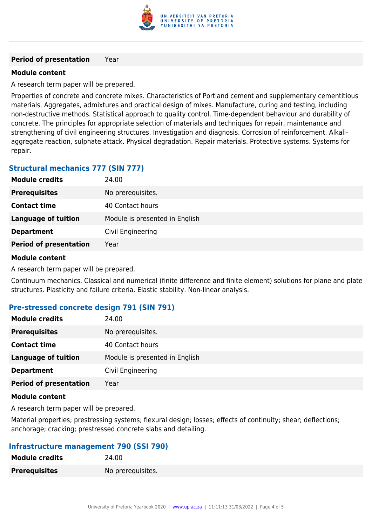

#### **Period of presentation** Year

## **Module content**

A research term paper will be prepared.

Properties of concrete and concrete mixes. Characteristics of Portland cement and supplementary cementitious materials. Aggregates, admixtures and practical design of mixes. Manufacture, curing and testing, including non-destructive methods. Statistical approach to quality control. Time-dependent behaviour and durability of concrete. The principles for appropriate selection of materials and techniques for repair, maintenance and strengthening of civil engineering structures. Investigation and diagnosis. Corrosion of reinforcement. Alkaliaggregate reaction, sulphate attack. Physical degradation. Repair materials. Protective systems. Systems for repair.

## **Structural mechanics 777 (SIN 777)**

| <b>Module credits</b>         | 24.00                          |
|-------------------------------|--------------------------------|
| <b>Prerequisites</b>          | No prerequisites.              |
| <b>Contact time</b>           | 40 Contact hours               |
| <b>Language of tuition</b>    | Module is presented in English |
| <b>Department</b>             | Civil Engineering              |
| <b>Period of presentation</b> | Year                           |

## **Module content**

A research term paper will be prepared.

Continuum mechanics. Classical and numerical (finite difference and finite element) solutions for plane and plate structures. Plasticity and failure criteria. Elastic stability. Non-linear analysis.

## **Pre-stressed concrete design 791 (SIN 791)**

| <b>Module credits</b>         | 24.00                          |
|-------------------------------|--------------------------------|
| <b>Prerequisites</b>          | No prerequisites.              |
| <b>Contact time</b>           | 40 Contact hours               |
| <b>Language of tuition</b>    | Module is presented in English |
| <b>Department</b>             | Civil Engineering              |
| <b>Period of presentation</b> | Year                           |

## **Module content**

A research term paper will be prepared.

Material properties; prestressing systems; flexural design; losses; effects of continuity; shear; deflections; anchorage; cracking; prestressed concrete slabs and detailing.

## **Infrastructure management 790 (SSI 790)**

| <b>Module credits</b> | 24.00             |
|-----------------------|-------------------|
| <b>Prerequisites</b>  | No prerequisites. |